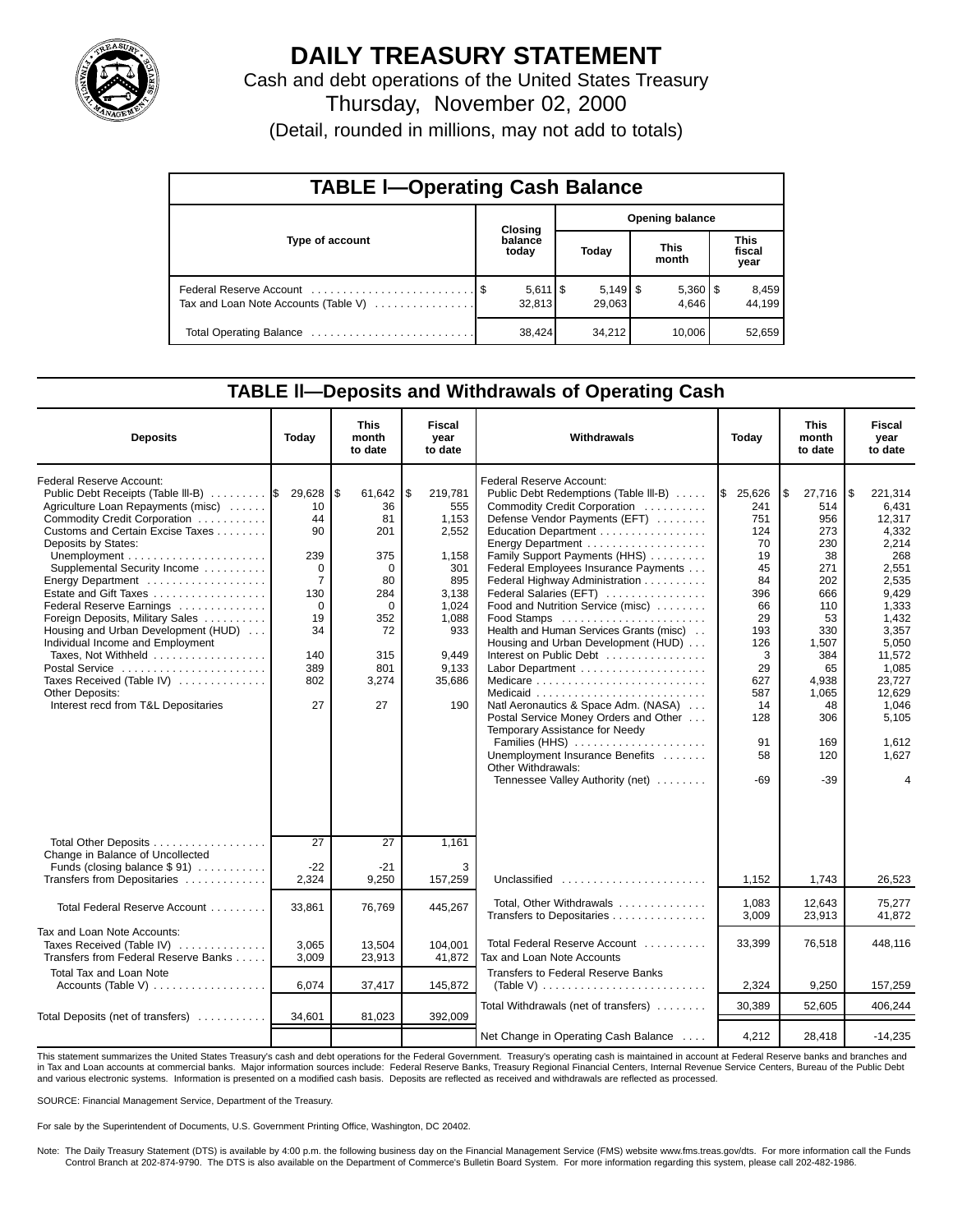

# **DAILY TREASURY STATEMENT**

Cash and debt operations of the United States Treasury Thursday, November 02, 2000 (Detail, rounded in millions, may not add to totals)

| <b>TABLE I-Operating Cash Balance</b> |  |                                 |                        |        |  |                       |  |                        |  |  |  |
|---------------------------------------|--|---------------------------------|------------------------|--------|--|-----------------------|--|------------------------|--|--|--|
|                                       |  | Closing                         | <b>Opening balance</b> |        |  |                       |  |                        |  |  |  |
| Type of account                       |  | balance<br>today                |                        | Today  |  | <b>This</b><br>month  |  | This<br>fiscal<br>year |  |  |  |
| Tax and Loan Note Accounts (Table V)  |  | $5,611$ $\frac{1}{3}$<br>32,813 |                        | 29.063 |  | $5,360$   \$<br>4.646 |  | 8,459<br>44.199        |  |  |  |
|                                       |  | 38,424                          |                        | 34,212 |  | 10,006                |  | 52,659                 |  |  |  |

### **TABLE ll—Deposits and Withdrawals of Operating Cash**

| <b>Deposits</b>                                                                                                                                                                                                                                                                                                                                                                                                                                                                                                                                                    | Today                                                                                                                      | This<br>month<br>to date                                                                                                 | <b>Fiscal</b><br>year<br>to date                                                                                                   | Withdrawals                                                                                                                                                                                                                                                                                                                                                                                                                                                                                                                                                                                                                                                                                                                                                                                   | Today                                                                                                                                                | <b>This</b><br>month<br>to date                                                                                                                                   | <b>Fiscal</b><br>year<br>to date                                                                                                                                                                   |
|--------------------------------------------------------------------------------------------------------------------------------------------------------------------------------------------------------------------------------------------------------------------------------------------------------------------------------------------------------------------------------------------------------------------------------------------------------------------------------------------------------------------------------------------------------------------|----------------------------------------------------------------------------------------------------------------------------|--------------------------------------------------------------------------------------------------------------------------|------------------------------------------------------------------------------------------------------------------------------------|-----------------------------------------------------------------------------------------------------------------------------------------------------------------------------------------------------------------------------------------------------------------------------------------------------------------------------------------------------------------------------------------------------------------------------------------------------------------------------------------------------------------------------------------------------------------------------------------------------------------------------------------------------------------------------------------------------------------------------------------------------------------------------------------------|------------------------------------------------------------------------------------------------------------------------------------------------------|-------------------------------------------------------------------------------------------------------------------------------------------------------------------|----------------------------------------------------------------------------------------------------------------------------------------------------------------------------------------------------|
| Federal Reserve Account:<br>Public Debt Receipts (Table III-B)  S<br>Agriculture Loan Repayments (misc)<br>Commodity Credit Corporation<br>Customs and Certain Excise Taxes<br>Deposits by States:<br>Supplemental Security Income<br>Energy Department<br>Estate and Gift Taxes<br>Federal Reserve Earnings<br>Foreign Deposits, Military Sales<br>Housing and Urban Development (HUD)<br>Individual Income and Employment<br>Taxes, Not Withheld<br>Postal Service<br>Taxes Received (Table IV)<br><b>Other Deposits:</b><br>Interest recd from T&L Depositaries | 29,628<br>10<br>44<br>90<br>239<br>$\mathbf 0$<br>$\overline{7}$<br>130<br>$\Omega$<br>19<br>34<br>140<br>389<br>802<br>27 | \$<br>61,642<br>36<br>81<br>201<br>375<br>$\mathbf 0$<br>80<br>284<br>$\Omega$<br>352<br>72<br>315<br>801<br>3,274<br>27 | \$<br>219,781<br>555<br>1,153<br>2,552<br>1.158<br>301<br>895<br>3,138<br>1,024<br>1,088<br>933<br>9,449<br>9,133<br>35.686<br>190 | Federal Reserve Account:<br>Public Debt Redemptions (Table III-B)<br>Commodity Credit Corporation<br>Defense Vendor Payments (EFT)<br>Education Department<br>Energy Department<br>Family Support Payments (HHS)<br>Federal Employees Insurance Payments<br>Federal Highway Administration<br>Federal Salaries (EFT)<br>Food and Nutrition Service (misc)<br>Food Stamps<br>Health and Human Services Grants (misc)<br>Housing and Urban Development (HUD)<br>Interest on Public Debt<br>Medicare $\ldots \ldots \ldots \ldots \ldots \ldots \ldots \ldots$<br>Natl Aeronautics & Space Adm. (NASA)<br>Postal Service Money Orders and Other<br>Temporary Assistance for Needy<br>Families (HHS)<br>Unemployment Insurance Benefits<br>Other Withdrawals:<br>Tennessee Valley Authority (net) | 25,626<br>I\$<br>241<br>751<br>124<br>70<br>19<br>45<br>84<br>396<br>66<br>29<br>193<br>126<br>3<br>29<br>627<br>587<br>14<br>128<br>91<br>58<br>-69 | \$<br>27,716<br>514<br>956<br>273<br>230<br>38<br>271<br>202<br>666<br>110<br>53<br>330<br>1,507<br>384<br>65<br>4.938<br>1.065<br>48<br>306<br>169<br>120<br>-39 | 221,314<br>6,431<br>12,317<br>4,332<br>2,214<br>268<br>2,551<br>2,535<br>9,429<br>1,333<br>1,432<br>3,357<br>5,050<br>11,572<br>1.085<br>23.727<br>12.629<br>1.046<br>5,105<br>1,612<br>1,627<br>4 |
| Total Other Deposits<br>Change in Balance of Uncollected<br>Funds (closing balance \$91)<br>Transfers from Depositaries                                                                                                                                                                                                                                                                                                                                                                                                                                            | $\overline{27}$<br>$-22$<br>2,324                                                                                          | 27<br>$-21$<br>9,250                                                                                                     | 1,161<br>3<br>157,259                                                                                                              | Unclassified                                                                                                                                                                                                                                                                                                                                                                                                                                                                                                                                                                                                                                                                                                                                                                                  | 1,152                                                                                                                                                | 1,743                                                                                                                                                             | 26,523                                                                                                                                                                                             |
| Total Federal Reserve Account                                                                                                                                                                                                                                                                                                                                                                                                                                                                                                                                      | 33,861                                                                                                                     | 76.769                                                                                                                   | 445.267                                                                                                                            | Total, Other Withdrawals<br>Transfers to Depositaries                                                                                                                                                                                                                                                                                                                                                                                                                                                                                                                                                                                                                                                                                                                                         | 1,083<br>3,009                                                                                                                                       | 12.643<br>23,913                                                                                                                                                  | 75,277<br>41.872                                                                                                                                                                                   |
| Tax and Loan Note Accounts:<br>Taxes Received (Table IV)<br>Transfers from Federal Reserve Banks                                                                                                                                                                                                                                                                                                                                                                                                                                                                   | 3,065<br>3,009                                                                                                             | 13,504<br>23,913                                                                                                         | 104,001<br>41,872                                                                                                                  | Total Federal Reserve Account<br>Tax and Loan Note Accounts                                                                                                                                                                                                                                                                                                                                                                                                                                                                                                                                                                                                                                                                                                                                   | 33,399                                                                                                                                               | 76,518                                                                                                                                                            | 448,116                                                                                                                                                                                            |
| <b>Total Tax and Loan Note</b><br>Accounts (Table V)                                                                                                                                                                                                                                                                                                                                                                                                                                                                                                               | 6,074                                                                                                                      | 37,417                                                                                                                   | 145,872                                                                                                                            | <b>Transfers to Federal Reserve Banks</b><br>(Table V) $\ldots \ldots \ldots \ldots \ldots \ldots \ldots \ldots$                                                                                                                                                                                                                                                                                                                                                                                                                                                                                                                                                                                                                                                                              | 2,324                                                                                                                                                | 9,250                                                                                                                                                             | 157,259                                                                                                                                                                                            |
|                                                                                                                                                                                                                                                                                                                                                                                                                                                                                                                                                                    |                                                                                                                            |                                                                                                                          |                                                                                                                                    | Total Withdrawals (net of transfers)                                                                                                                                                                                                                                                                                                                                                                                                                                                                                                                                                                                                                                                                                                                                                          | 30,389                                                                                                                                               | 52.605                                                                                                                                                            | 406,244                                                                                                                                                                                            |
| Total Deposits (net of transfers)                                                                                                                                                                                                                                                                                                                                                                                                                                                                                                                                  | 34,601                                                                                                                     | 81,023                                                                                                                   | 392,009                                                                                                                            | Net Change in Operating Cash Balance                                                                                                                                                                                                                                                                                                                                                                                                                                                                                                                                                                                                                                                                                                                                                          | 4,212                                                                                                                                                | 28,418                                                                                                                                                            | $-14.235$                                                                                                                                                                                          |

This statement summarizes the United States Treasury's cash and debt operations for the Federal Government. Treasury's operating cash is maintained in account at Federal Reserve banks and branches and in Tax and Loan accounts at commercial banks. Major information sources include: Federal Reserve Banks, Treasury Regional Financial Centers, Internal Revenue Service Centers, Bureau of the Public Debt<br>and various electroni

SOURCE: Financial Management Service, Department of the Treasury.

For sale by the Superintendent of Documents, U.S. Government Printing Office, Washington, DC 20402.

Note: The Daily Treasury Statement (DTS) is available by 4:00 p.m. the following business day on the Financial Management Service (FMS) website www.fms.treas.gov/dts. For more information call the Funds<br>Control Branch at 2